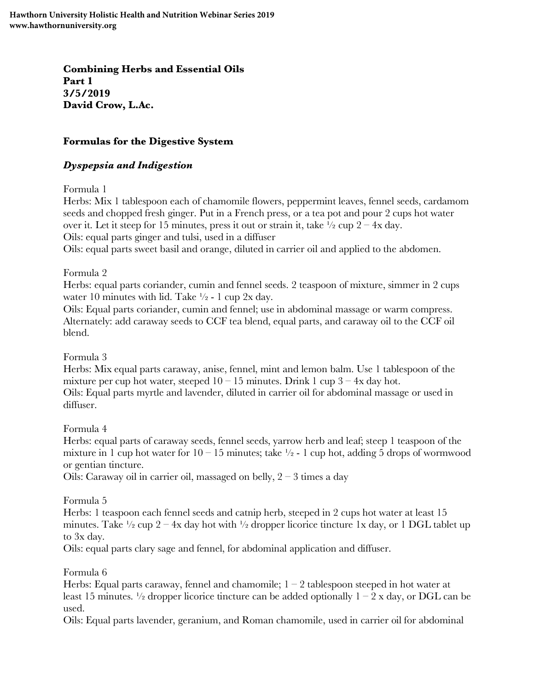**Combining Herbs and Essential Oils Part 1 3/5/2019 David Crow, L.Ac.**

### **Formulas for the Digestive System**

### *Dyspepsia and Indigestion*

Formula 1

Herbs: Mix 1 tablespoon each of chamomile flowers, peppermint leaves, fennel seeds, cardamom seeds and chopped fresh ginger. Put in a French press, or a tea pot and pour 2 cups hot water over it. Let it steep for 15 minutes, press it out or strain it, take  $\frac{1}{2}$  cup  $2 - 4x$  day. Oils: equal parts ginger and tulsi, used in a diffuser

Oils: equal parts sweet basil and orange, diluted in carrier oil and applied to the abdomen.

Formula 2

Herbs: equal parts coriander, cumin and fennel seeds. 2 teaspoon of mixture, simmer in 2 cups water 10 minutes with lid. Take  $\frac{1}{2}$  - 1 cup 2x day.

Oils: Equal parts coriander, cumin and fennel; use in abdominal massage or warm compress. Alternately: add caraway seeds to CCF tea blend, equal parts, and caraway oil to the CCF oil blend.

Formula 3

Herbs: Mix equal parts caraway, anise, fennel, mint and lemon balm. Use 1 tablespoon of the mixture per cup hot water, steeped  $10 - 15$  minutes. Drink 1 cup  $3 - 4x$  day hot. Oils: Equal parts myrtle and lavender, diluted in carrier oil for abdominal massage or used in diffuser.

Formula 4

Herbs: equal parts of caraway seeds, fennel seeds, yarrow herb and leaf; steep 1 teaspoon of the mixture in 1 cup hot water for  $10 - 15$  minutes; take  $\frac{1}{2}$  - 1 cup hot, adding 5 drops of wormwood or gentian tincture.

Oils: Caraway oil in carrier oil, massaged on belly,  $2 - 3$  times a day

Formula 5

Herbs: 1 teaspoon each fennel seeds and catnip herb, steeped in 2 cups hot water at least 15 minutes. Take  $\frac{1}{2}$  cup 2 – 4x day hot with  $\frac{1}{2}$  dropper licorice tincture 1x day, or 1 DGL tablet up to 3x day.

Oils: equal parts clary sage and fennel, for abdominal application and diffuser.

Formula 6

Herbs: Equal parts caraway, fennel and chamomile;  $1 - 2$  tablespoon steeped in hot water at least 15 minutes.  $\frac{1}{2}$  dropper licorice tincture can be added optionally  $1 - 2x$  day, or DGL can be used.

Oils: Equal parts lavender, geranium, and Roman chamomile, used in carrier oil for abdominal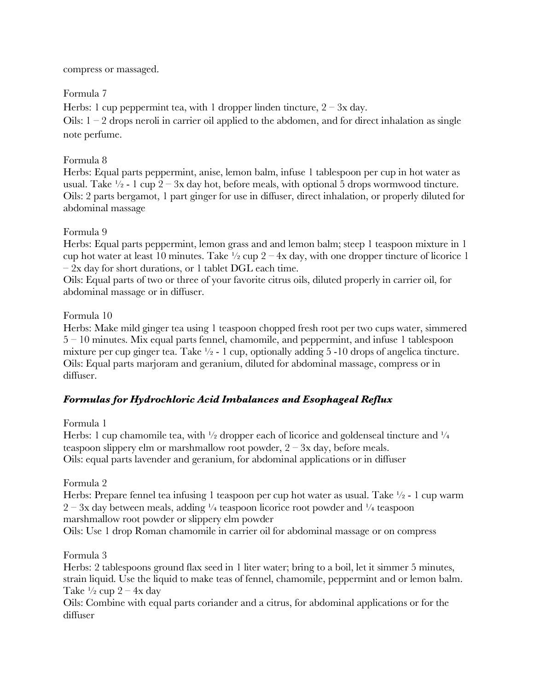compress or massaged.

### Formula 7

Herbs: 1 cup peppermint tea, with 1 dropper linden tincture,  $2 - 3x$  day.

Oils:  $1 - 2$  drops neroli in carrier oil applied to the abdomen, and for direct inhalation as single note perfume.

### Formula 8

Herbs: Equal parts peppermint, anise, lemon balm, infuse 1 tablespoon per cup in hot water as usual. Take  $\frac{1}{2}$  - 1 cup 2 – 3x day hot, before meals, with optional 5 drops wormwood tincture. Oils: 2 parts bergamot, 1 part ginger for use in diffuser, direct inhalation, or properly diluted for abdominal massage

# Formula 9

Herbs: Equal parts peppermint, lemon grass and and lemon balm; steep 1 teaspoon mixture in 1 cup hot water at least 10 minutes. Take  $\frac{1}{2}$  cup 2 – 4x day, with one dropper tincture of licorice 1  $-$  2x day for short durations, or 1 tablet DGL each time.

Oils: Equal parts of two or three of your favorite citrus oils, diluted properly in carrier oil, for abdominal massage or in diffuser.

### Formula 10

Herbs: Make mild ginger tea using 1 teaspoon chopped fresh root per two cups water, simmered 5 – 10 minutes. Mix equal parts fennel, chamomile, and peppermint, and infuse 1 tablespoon mixture per cup ginger tea. Take  $\frac{1}{2}$  - 1 cup, optionally adding 5 -10 drops of angelica tincture. Oils: Equal parts marjoram and geranium, diluted for abdominal massage, compress or in diffuser.

# *Formulas for Hydrochloric Acid Imbalances and Esophageal Reflux*

Formula 1

Herbs: 1 cup chamomile tea, with  $\frac{1}{2}$  dropper each of licorice and goldenseal tincture and  $\frac{1}{4}$ teaspoon slippery elm or marshmallow root powder,  $2 - 3x$  day, before meals. Oils: equal parts lavender and geranium, for abdominal applications or in diffuser

Formula 2

Herbs: Prepare fennel tea infusing 1 teaspoon per cup hot water as usual. Take  $\frac{1}{2}$  - 1 cup warm  $2 - 3x$  day between meals, adding  $\frac{1}{4}$  teaspoon licorice root powder and  $\frac{1}{4}$  teaspoon marshmallow root powder or slippery elm powder

Oils: Use 1 drop Roman chamomile in carrier oil for abdominal massage or on compress

Formula 3

Herbs: 2 tablespoons ground flax seed in 1 liter water; bring to a boil, let it simmer 5 minutes, strain liquid. Use the liquid to make teas of fennel, chamomile, peppermint and or lemon balm. Take  $\frac{1}{2}$  cup  $2 - 4x$  day

Oils: Combine with equal parts coriander and a citrus, for abdominal applications or for the diffuser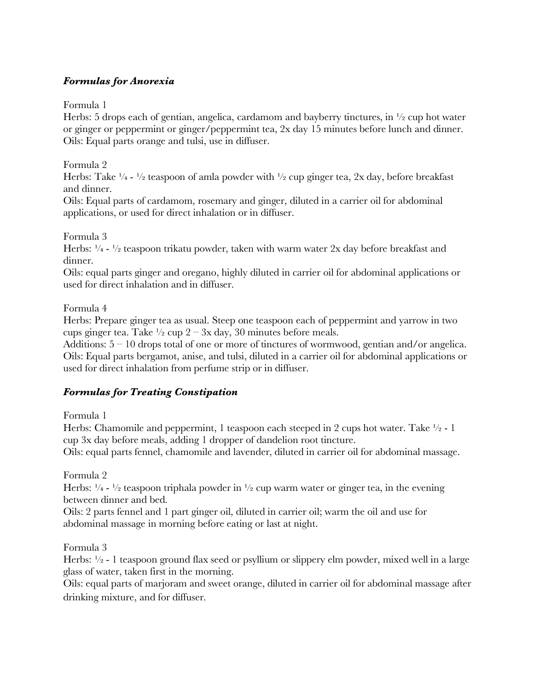### *Formulas for Anorexia*

Formula 1

Herbs: 5 drops each of gentian, angelica, cardamom and bayberry tinctures, in  $\frac{1}{2}$  cup hot water or ginger or peppermint or ginger/peppermint tea, 2x day 15 minutes before lunch and dinner. Oils: Equal parts orange and tulsi, use in diffuser.

Formula 2

Herbs: Take  $\frac{1}{4}$  -  $\frac{1}{2}$  teaspoon of amla powder with  $\frac{1}{2}$  cup ginger tea, 2x day, before breakfast and dinner.

Oils: Equal parts of cardamom, rosemary and ginger, diluted in a carrier oil for abdominal applications, or used for direct inhalation or in diffuser.

Formula 3

Herbs:  $\frac{1}{4}$  -  $\frac{1}{2}$  teaspoon trikatu powder, taken with warm water 2x day before breakfast and dinner.

Oils: equal parts ginger and oregano, highly diluted in carrier oil for abdominal applications or used for direct inhalation and in diffuser.

Formula 4

Herbs: Prepare ginger tea as usual. Steep one teaspoon each of peppermint and yarrow in two cups ginger tea. Take  $\frac{1}{2}$  cup  $2 - 3x$  day, 30 minutes before meals.

Additions:  $5 - 10$  drops total of one or more of tinctures of wormwood, gentian and/or angelica. Oils: Equal parts bergamot, anise, and tulsi, diluted in a carrier oil for abdominal applications or used for direct inhalation from perfume strip or in diffuser.

#### *Formulas for Treating Constipation*

Formula 1

Herbs: Chamomile and peppermint, 1 teaspoon each steeped in 2 cups hot water. Take  $\frac{1}{2}$  - 1 cup 3x day before meals, adding 1 dropper of dandelion root tincture.

Oils: equal parts fennel, chamomile and lavender, diluted in carrier oil for abdominal massage.

Formula 2

Herbs:  $\frac{1}{4}$  -  $\frac{1}{2}$  teaspoon triphala powder in  $\frac{1}{2}$  cup warm water or ginger tea, in the evening between dinner and bed.

Oils: 2 parts fennel and 1 part ginger oil, diluted in carrier oil; warm the oil and use for abdominal massage in morning before eating or last at night.

Formula 3

Herbs:  $\frac{1}{2}$  - 1 teaspoon ground flax seed or psyllium or slippery elm powder, mixed well in a large glass of water, taken first in the morning.

Oils: equal parts of marjoram and sweet orange, diluted in carrier oil for abdominal massage after drinking mixture, and for diffuser.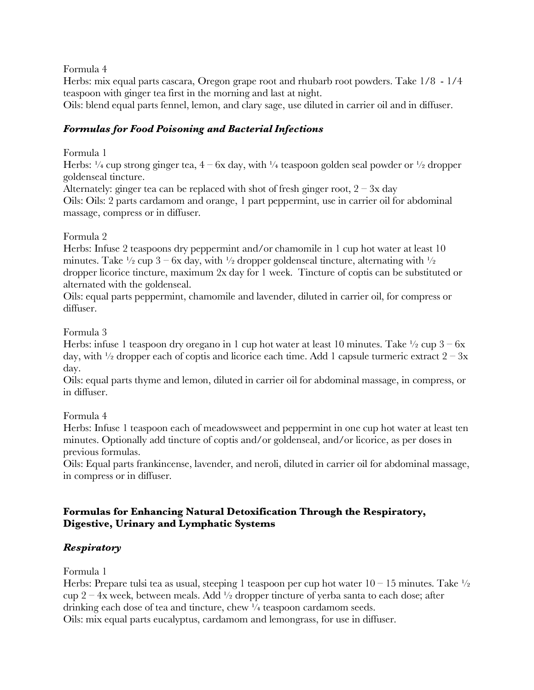Formula 4

Herbs: mix equal parts cascara, Oregon grape root and rhubarb root powders. Take 1/8 - 1/4 teaspoon with ginger tea first in the morning and last at night.

Oils: blend equal parts fennel, lemon, and clary sage, use diluted in carrier oil and in diffuser.

### *Formulas for Food Poisoning and Bacterial Infections*

Formula 1

Herbs:  $\frac{1}{4}$  cup strong ginger tea,  $4 - 6x$  day, with  $\frac{1}{4}$  teaspoon golden seal powder or  $\frac{1}{2}$  dropper goldenseal tincture.

Alternately: ginger tea can be replaced with shot of fresh ginger root,  $2 - 3x$  day

Oils: Oils: 2 parts cardamom and orange, 1 part peppermint, use in carrier oil for abdominal massage, compress or in diffuser.

Formula 2

Herbs: Infuse 2 teaspoons dry peppermint and/or chamomile in 1 cup hot water at least 10 minutes. Take  $\frac{1}{2}$  cup 3 – 6x day, with  $\frac{1}{2}$  dropper goldenseal tincture, alternating with  $\frac{1}{2}$ dropper licorice tincture, maximum 2x day for 1 week. Tincture of coptis can be substituted or alternated with the goldenseal.

Oils: equal parts peppermint, chamomile and lavender, diluted in carrier oil, for compress or diffuser.

Formula 3

Herbs: infuse 1 teaspoon dry oregano in 1 cup hot water at least 10 minutes. Take  $\frac{1}{2}$  cup  $3 - 6x$ day, with  $\frac{1}{2}$  dropper each of coptis and licorice each time. Add 1 capsule turmeric extract  $2 - 3x$ day.

Oils: equal parts thyme and lemon, diluted in carrier oil for abdominal massage, in compress, or in diffuser.

Formula 4

Herbs: Infuse 1 teaspoon each of meadowsweet and peppermint in one cup hot water at least ten minutes. Optionally add tincture of coptis and/or goldenseal, and/or licorice, as per doses in previous formulas.

Oils: Equal parts frankincense, lavender, and neroli, diluted in carrier oil for abdominal massage, in compress or in diffuser.

#### **Formulas for Enhancing Natural Detoxification Through the Respiratory, Digestive, Urinary and Lymphatic Systems**

#### *Respiratory*

Formula 1

Herbs: Prepare tulsi tea as usual, steeping 1 teaspoon per cup hot water  $10 - 15$  minutes. Take  $\frac{1}{2}$ cup 2 – 4x week, between meals. Add  $\frac{1}{2}$  dropper tincture of yerba santa to each dose; after drinking each dose of tea and tincture, chew  $\frac{1}{4}$  teaspoon cardamom seeds. Oils: mix equal parts eucalyptus, cardamom and lemongrass, for use in diffuser.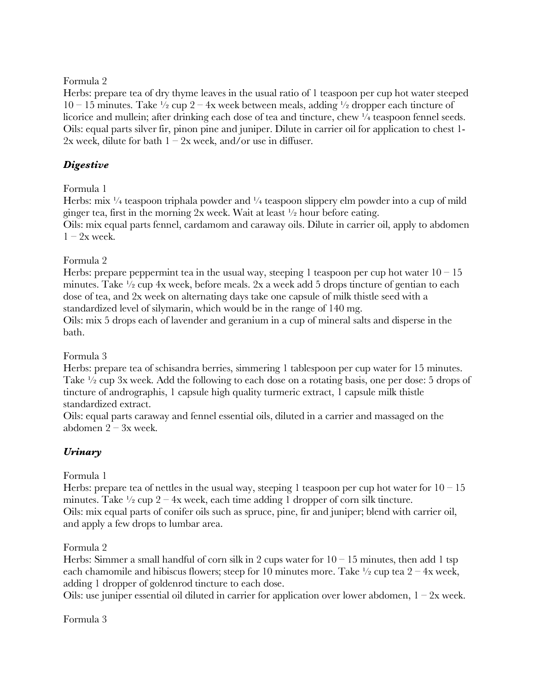#### Formula 2

Herbs: prepare tea of dry thyme leaves in the usual ratio of 1 teaspoon per cup hot water steeped  $10 - 15$  minutes. Take  $\frac{1}{2}$  cup  $2 - 4x$  week between meals, adding  $\frac{1}{2}$  dropper each tincture of licorice and mullein; after drinking each dose of tea and tincture, chew  $\frac{1}{4}$  teaspoon fennel seeds. Oils: equal parts silver fir, pinon pine and juniper. Dilute in carrier oil for application to chest 1- 2x week, dilute for bath  $1 - 2x$  week, and/or use in diffuser.

# *Digestive*

# Formula 1

Herbs: mix  $\frac{1}{4}$  teaspoon triphala powder and  $\frac{1}{4}$  teaspoon slippery elm powder into a cup of mild ginger tea, first in the morning 2x week. Wait at least ½ hour before eating. Oils: mix equal parts fennel, cardamom and caraway oils. Dilute in carrier oil, apply to abdomen  $1 - 2x$  week.

# Formula 2

Herbs: prepare peppermint tea in the usual way, steeping 1 teaspoon per cup hot water  $10 - 15$ minutes. Take ½ cup 4x week, before meals. 2x a week add 5 drops tincture of gentian to each dose of tea, and 2x week on alternating days take one capsule of milk thistle seed with a standardized level of silymarin, which would be in the range of 140 mg.

Oils: mix 5 drops each of lavender and geranium in a cup of mineral salts and disperse in the bath.

# Formula 3

Herbs: prepare tea of schisandra berries, simmering 1 tablespoon per cup water for 15 minutes. Take <sup>1</sup>/<sub>2</sub> cup 3x week. Add the following to each dose on a rotating basis, one per dose: 5 drops of tincture of andrographis, 1 capsule high quality turmeric extract, 1 capsule milk thistle standardized extract.

Oils: equal parts caraway and fennel essential oils, diluted in a carrier and massaged on the abdomen  $2 - 3x$  week.

# *Urinary*

# Formula 1

Herbs: prepare tea of nettles in the usual way, steeping 1 teaspoon per cup hot water for  $10 - 15$ minutes. Take  $\frac{1}{2}$  cup 2 – 4x week, each time adding 1 dropper of corn silk tincture. Oils: mix equal parts of conifer oils such as spruce, pine, fir and juniper; blend with carrier oil, and apply a few drops to lumbar area.

# Formula 2

Herbs: Simmer a small handful of corn silk in 2 cups water for  $10 - 15$  minutes, then add 1 tsp each chamomile and hibiscus flowers; steep for 10 minutes more. Take  $\frac{1}{2}$  cup tea  $2 - 4x$  week, adding 1 dropper of goldenrod tincture to each dose.

Oils: use juniper essential oil diluted in carrier for application over lower abdomen,  $1 - 2x$  week.

#### Formula 3